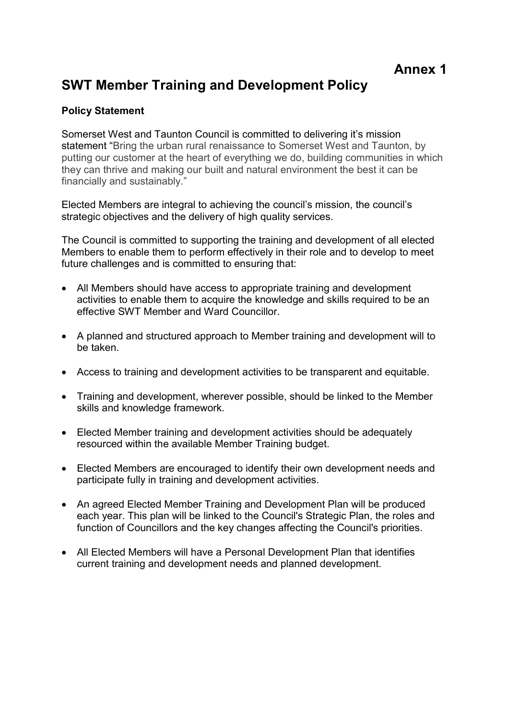# SWT Member Training and Development Policy

## Policy Statement

Somerset West and Taunton Council is committed to delivering it's mission statement "Bring the urban rural renaissance to Somerset West and Taunton, by putting our customer at the heart of everything we do, building communities in which they can thrive and making our built and natural environment the best it can be financially and sustainably."

Elected Members are integral to achieving the council's mission, the council's strategic objectives and the delivery of high quality services.

The Council is committed to supporting the training and development of all elected Members to enable them to perform effectively in their role and to develop to meet future challenges and is committed to ensuring that:

- All Members should have access to appropriate training and development activities to enable them to acquire the knowledge and skills required to be an effective SWT Member and Ward Councillor.
- A planned and structured approach to Member training and development will to be taken.
- Access to training and development activities to be transparent and equitable.
- Training and development, wherever possible, should be linked to the Member skills and knowledge framework.
- Elected Member training and development activities should be adequately resourced within the available Member Training budget.
- Elected Members are encouraged to identify their own development needs and participate fully in training and development activities.
- An agreed Elected Member Training and Development Plan will be produced each year. This plan will be linked to the Council's Strategic Plan, the roles and function of Councillors and the key changes affecting the Council's priorities.
- All Elected Members will have a Personal Development Plan that identifies current training and development needs and planned development.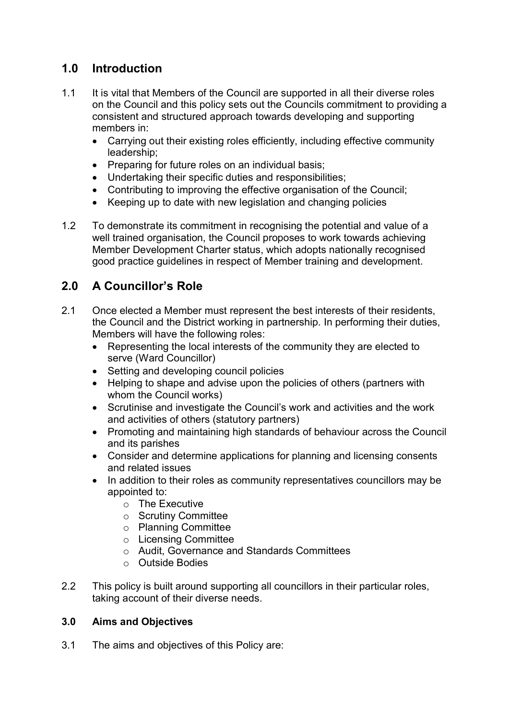## 1.0 Introduction

- 1.1 It is vital that Members of the Council are supported in all their diverse roles on the Council and this policy sets out the Councils commitment to providing a consistent and structured approach towards developing and supporting members in:
	- Carrying out their existing roles efficiently, including effective community leadership;
	- Preparing for future roles on an individual basis;
	- Undertaking their specific duties and responsibilities;
	- Contributing to improving the effective organisation of the Council;
	- Keeping up to date with new legislation and changing policies
- 1.2 To demonstrate its commitment in recognising the potential and value of a well trained organisation, the Council proposes to work towards achieving Member Development Charter status, which adopts nationally recognised good practice guidelines in respect of Member training and development.

## 2.0 A Councillor's Role

- 2.1 Once elected a Member must represent the best interests of their residents, the Council and the District working in partnership. In performing their duties, Members will have the following roles:
	- Representing the local interests of the community they are elected to serve (Ward Councillor)
	- Setting and developing council policies
	- Helping to shape and advise upon the policies of others (partners with whom the Council works)
	- Scrutinise and investigate the Council's work and activities and the work and activities of others (statutory partners)
	- Promoting and maintaining high standards of behaviour across the Council and its parishes
	- Consider and determine applications for planning and licensing consents and related issues
	- In addition to their roles as community representatives councillors may be appointed to:
		- o The Executive
		- o Scrutiny Committee
		- o Planning Committee
		- o Licensing Committee
		- o Audit, Governance and Standards Committees
		- o Outside Bodies
- 2.2 This policy is built around supporting all councillors in their particular roles, taking account of their diverse needs.

## 3.0 Aims and Objectives

3.1 The aims and objectives of this Policy are: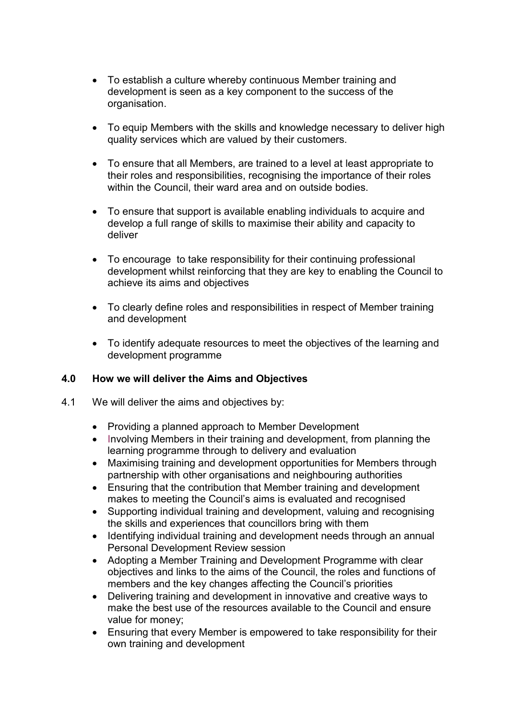- To establish a culture whereby continuous Member training and development is seen as a key component to the success of the organisation.
- To equip Members with the skills and knowledge necessary to deliver high quality services which are valued by their customers.
- To ensure that all Members, are trained to a level at least appropriate to their roles and responsibilities, recognising the importance of their roles within the Council, their ward area and on outside bodies.
- To ensure that support is available enabling individuals to acquire and develop a full range of skills to maximise their ability and capacity to deliver
- To encourage to take responsibility for their continuing professional development whilst reinforcing that they are key to enabling the Council to achieve its aims and objectives
- To clearly define roles and responsibilities in respect of Member training and development
- To identify adequate resources to meet the objectives of the learning and development programme

#### 4.0 How we will deliver the Aims and Objectives

- 4.1 We will deliver the aims and objectives by:
	- Providing a planned approach to Member Development
	- Involving Members in their training and development, from planning the learning programme through to delivery and evaluation
	- Maximising training and development opportunities for Members through partnership with other organisations and neighbouring authorities
	- Ensuring that the contribution that Member training and development makes to meeting the Council's aims is evaluated and recognised
	- Supporting individual training and development, valuing and recognising the skills and experiences that councillors bring with them
	- Identifying individual training and development needs through an annual Personal Development Review session
	- Adopting a Member Training and Development Programme with clear objectives and links to the aims of the Council, the roles and functions of members and the key changes affecting the Council's priorities
	- Delivering training and development in innovative and creative ways to make the best use of the resources available to the Council and ensure value for money;
	- Ensuring that every Member is empowered to take responsibility for their own training and development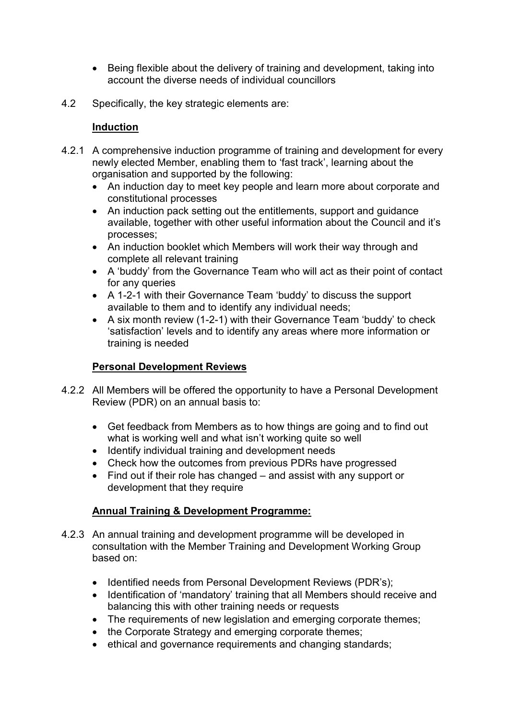- Being flexible about the delivery of training and development, taking into account the diverse needs of individual councillors
- 4.2 Specifically, the key strategic elements are:

#### Induction

- 4.2.1 A comprehensive induction programme of training and development for every newly elected Member, enabling them to 'fast track', learning about the organisation and supported by the following:
	- An induction day to meet key people and learn more about corporate and constitutional processes
	- An induction pack setting out the entitlements, support and guidance available, together with other useful information about the Council and it's processes;
	- An induction booklet which Members will work their way through and complete all relevant training
	- A 'buddy' from the Governance Team who will act as their point of contact for any queries
	- A 1-2-1 with their Governance Team 'buddy' to discuss the support available to them and to identify any individual needs;
	- A six month review (1-2-1) with their Governance Team 'buddy' to check 'satisfaction' levels and to identify any areas where more information or training is needed

## Personal Development Reviews

- 4.2.2 All Members will be offered the opportunity to have a Personal Development Review (PDR) on an annual basis to:
	- Get feedback from Members as to how things are going and to find out what is working well and what isn't working quite so well
	- Identify individual training and development needs
	- Check how the outcomes from previous PDRs have progressed
	- Find out if their role has changed and assist with any support or development that they require

## Annual Training & Development Programme:

- 4.2.3 An annual training and development programme will be developed in consultation with the Member Training and Development Working Group based on:
	- Identified needs from Personal Development Reviews (PDR's);
	- Identification of 'mandatory' training that all Members should receive and balancing this with other training needs or requests
	- The requirements of new legislation and emerging corporate themes;
	- the Corporate Strategy and emerging corporate themes;
	- ethical and governance requirements and changing standards;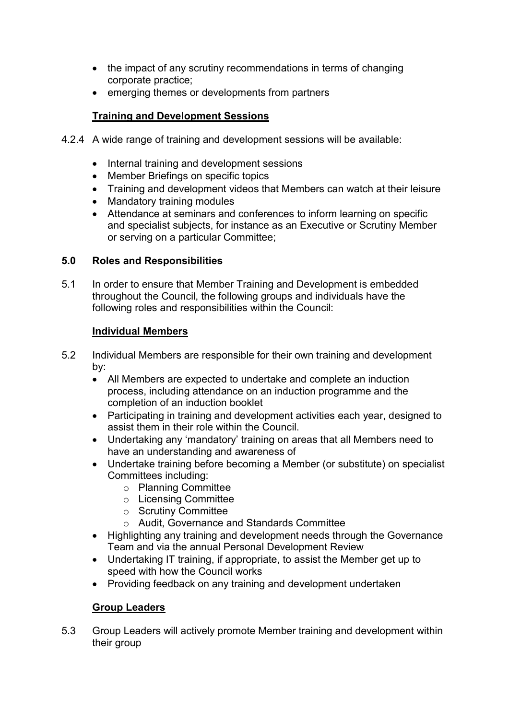- the impact of any scrutiny recommendations in terms of changing corporate practice;
- emerging themes or developments from partners

## Training and Development Sessions

- 4.2.4 A wide range of training and development sessions will be available:
	- Internal training and development sessions
	- Member Briefings on specific topics
	- Training and development videos that Members can watch at their leisure
	- Mandatory training modules
	- Attendance at seminars and conferences to inform learning on specific and specialist subjects, for instance as an Executive or Scrutiny Member or serving on a particular Committee;

## 5.0 Roles and Responsibilities

5.1 In order to ensure that Member Training and Development is embedded throughout the Council, the following groups and individuals have the following roles and responsibilities within the Council:

#### Individual Members

- 5.2 Individual Members are responsible for their own training and development by:
	- All Members are expected to undertake and complete an induction process, including attendance on an induction programme and the completion of an induction booklet
	- Participating in training and development activities each year, designed to assist them in their role within the Council.
	- Undertaking any 'mandatory' training on areas that all Members need to have an understanding and awareness of
	- Undertake training before becoming a Member (or substitute) on specialist Committees including:
		- o Planning Committee
		- o Licensing Committee
		- o Scrutiny Committee
		- o Audit, Governance and Standards Committee
	- Highlighting any training and development needs through the Governance Team and via the annual Personal Development Review
	- Undertaking IT training, if appropriate, to assist the Member get up to speed with how the Council works
	- Providing feedback on any training and development undertaken

## Group Leaders

5.3 Group Leaders will actively promote Member training and development within their group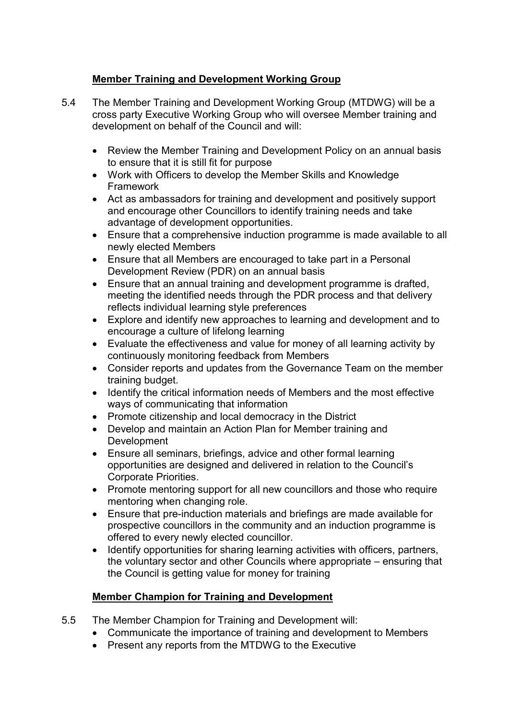## Member Training and Development Working Group

- 5.4 The Member Training and Development Working Group (MTDWG) will be a cross party Executive Working Group who will oversee Member training and development on behalf of the Council and will:
	- Review the Member Training and Development Policy on an annual basis to ensure that it is still fit for purpose
	- Work with Officers to develop the Member Skills and Knowledge Framework
	- Act as ambassadors for training and development and positively support and encourage other Councillors to identify training needs and take advantage of development opportunities.
	- Ensure that a comprehensive induction programme is made available to all newly elected Members
	- Ensure that all Members are encouraged to take part in a Personal Development Review (PDR) on an annual basis
	- Ensure that an annual training and development programme is drafted, meeting the identified needs through the PDR process and that delivery reflects individual learning style preferences
	- Explore and identify new approaches to learning and development and to encourage a culture of lifelong learning
	- Evaluate the effectiveness and value for money of all learning activity by continuously monitoring feedback from Members
	- Consider reports and updates from the Governance Team on the member training budget.
	- Identify the critical information needs of Members and the most effective ways of communicating that information
	- Promote citizenship and local democracy in the District
	- Develop and maintain an Action Plan for Member training and Development
	- Ensure all seminars, briefings, advice and other formal learning opportunities are designed and delivered in relation to the Council's Corporate Priorities.
	- Promote mentoring support for all new councillors and those who require mentoring when changing role.
	- Ensure that pre-induction materials and briefings are made available for prospective councillors in the community and an induction programme is offered to every newly elected councillor.
	- Identify opportunities for sharing learning activities with officers, partners, the voluntary sector and other Councils where appropriate – ensuring that the Council is getting value for money for training

## Member Champion for Training and Development

- 5.5 The Member Champion for Training and Development will:
	- Communicate the importance of training and development to Members
	- Present any reports from the MTDWG to the Executive